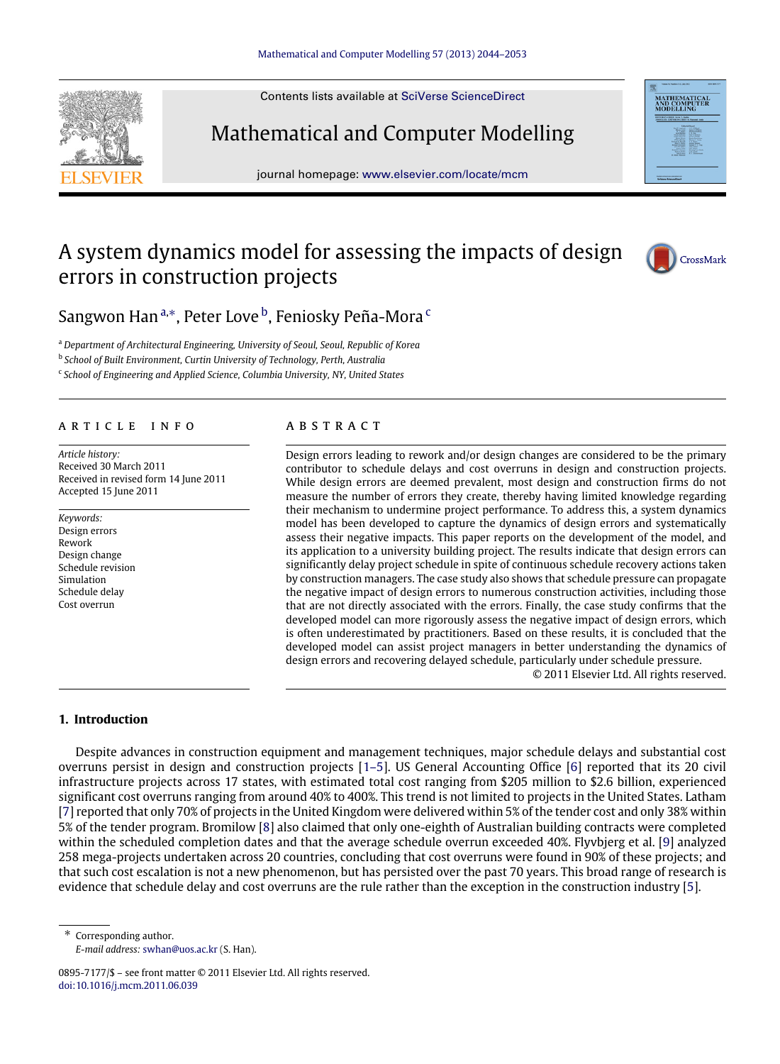Contents lists available at [SciVerse ScienceDirect](http://www.elsevier.com/locate/mcm)

# Mathematical and Computer Modelling

journal homepage: [www.elsevier.com/locate/mcm](http://www.elsevier.com/locate/mcm)

### A system dynamics model for assessing the impacts of design errors in construction projects



Sangwon Han<sup>[a,](#page-0-0)[∗](#page-0-1)</sup>, Peter Love <sup>[b](#page-0-2)</sup>, Feniosky Peña-Mora <sup>[c](#page-0-3)</sup>

<span id="page-0-0"></span><sup>a</sup> *Department of Architectural Engineering, University of Seoul, Seoul, Republic of Korea*

<span id="page-0-2"></span>b *School of Built Environment, Curtin University of Technology, Perth, Australia*

<span id="page-0-3"></span>c *School of Engineering and Applied Science, Columbia University, NY, United States*

#### A R T I C L E I N F O

*Article history:* Received 30 March 2011 Received in revised form 14 June 2011 Accepted 15 June 2011

*Keywords:* Design errors Rework Design change Schedule revision Simulation Schedule delay Cost overrun

#### a b s t r a c t

Design errors leading to rework and/or design changes are considered to be the primary contributor to schedule delays and cost overruns in design and construction projects. While design errors are deemed prevalent, most design and construction firms do not measure the number of errors they create, thereby having limited knowledge regarding their mechanism to undermine project performance. To address this, a system dynamics model has been developed to capture the dynamics of design errors and systematically assess their negative impacts. This paper reports on the development of the model, and its application to a university building project. The results indicate that design errors can significantly delay project schedule in spite of continuous schedule recovery actions taken by construction managers. The case study also shows that schedule pressure can propagate the negative impact of design errors to numerous construction activities, including those that are not directly associated with the errors. Finally, the case study confirms that the developed model can more rigorously assess the negative impact of design errors, which is often underestimated by practitioners. Based on these results, it is concluded that the developed model can assist project managers in better understanding the dynamics of design errors and recovering delayed schedule, particularly under schedule pressure.

© 2011 Elsevier Ltd. All rights reserved.

#### **1. Introduction**

Despite advances in construction equipment and management techniques, major schedule delays and substantial cost overruns persist in design and construction projects [\[1–5\]](#page--1-0). US General Accounting Office [\[6\]](#page--1-1) reported that its 20 civil infrastructure projects across 17 states, with estimated total cost ranging from \$205 million to \$2.6 billion, experienced significant cost overruns ranging from around 40% to 400%. This trend is not limited to projects in the United States. Latham [\[7\]](#page--1-2) reported that only 70% of projects in the United Kingdom were delivered within 5% of the tender cost and only 38% within 5% of the tender program. Bromilow [\[8\]](#page--1-3) also claimed that only one-eighth of Australian building contracts were completed within the scheduled completion dates and that the average schedule overrun exceeded 40%. Flyvbjerg et al. [\[9\]](#page--1-4) analyzed 258 mega-projects undertaken across 20 countries, concluding that cost overruns were found in 90% of these projects; and that such cost escalation is not a new phenomenon, but has persisted over the past 70 years. This broad range of research is evidence that schedule delay and cost overruns are the rule rather than the exception in the construction industry [\[5\]](#page--1-5).

<span id="page-0-1"></span>Corresponding author. *E-mail address:* [swhan@uos.ac.kr](mailto:swhan@uos.ac.kr) (S. Han).



<sup>0895-7177/\$ –</sup> see front matter © 2011 Elsevier Ltd. All rights reserved. [doi:10.1016/j.mcm.2011.06.039](http://dx.doi.org/10.1016/j.mcm.2011.06.039)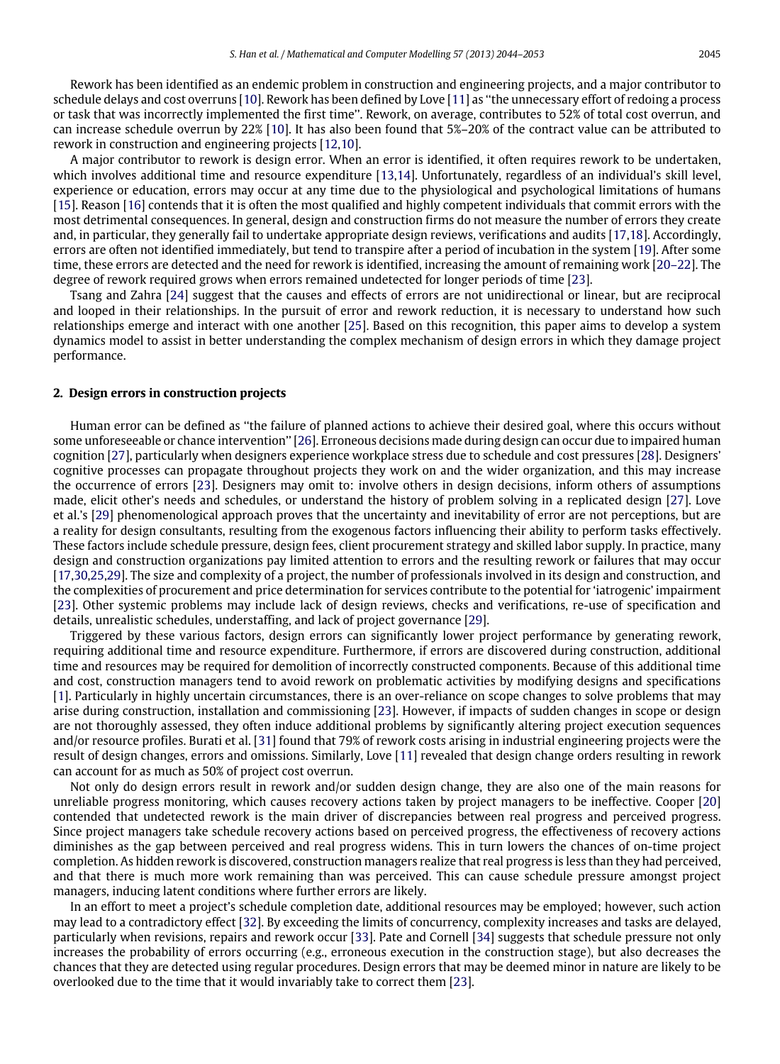Rework has been identified as an endemic problem in construction and engineering projects, and a major contributor to schedule delays and cost overruns [\[10\]](#page--1-6). Rework has been defined by Love [\[11\]](#page--1-7) as ''the unnecessary effort of redoing a process or task that was incorrectly implemented the first time''. Rework, on average, contributes to 52% of total cost overrun, and can increase schedule overrun by 22% [\[10\]](#page--1-6). It has also been found that 5%–20% of the contract value can be attributed to rework in construction and engineering projects [\[12,](#page--1-8)[10\]](#page--1-6).

A major contributor to rework is design error. When an error is identified, it often requires rework to be undertaken, which involves additional time and resource expenditure [\[13](#page--1-9)[,14\]](#page--1-10). Unfortunately, regardless of an individual's skill level, experience or education, errors may occur at any time due to the physiological and psychological limitations of humans [\[15\]](#page--1-11). Reason [\[16\]](#page--1-12) contends that it is often the most qualified and highly competent individuals that commit errors with the most detrimental consequences. In general, design and construction firms do not measure the number of errors they create and, in particular, they generally fail to undertake appropriate design reviews, verifications and audits [\[17,](#page--1-13)[18\]](#page--1-14). Accordingly, errors are often not identified immediately, but tend to transpire after a period of incubation in the system [\[19\]](#page--1-15). After some time, these errors are detected and the need for rework is identified, increasing the amount of remaining work [\[20–22\]](#page--1-16). The degree of rework required grows when errors remained undetected for longer periods of time [\[23\]](#page--1-17).

Tsang and Zahra [\[24\]](#page--1-18) suggest that the causes and effects of errors are not unidirectional or linear, but are reciprocal and looped in their relationships. In the pursuit of error and rework reduction, it is necessary to understand how such relationships emerge and interact with one another [\[25\]](#page--1-19). Based on this recognition, this paper aims to develop a system dynamics model to assist in better understanding the complex mechanism of design errors in which they damage project performance.

#### **2. Design errors in construction projects**

Human error can be defined as ''the failure of planned actions to achieve their desired goal, where this occurs without some unforeseeable or chance intervention'' [\[26\]](#page--1-20). Erroneous decisions made during design can occur due to impaired human cognition [\[27\]](#page--1-21), particularly when designers experience workplace stress due to schedule and cost pressures [\[28\]](#page--1-22). Designers' cognitive processes can propagate throughout projects they work on and the wider organization, and this may increase the occurrence of errors [\[23\]](#page--1-17). Designers may omit to: involve others in design decisions, inform others of assumptions made, elicit other's needs and schedules, or understand the history of problem solving in a replicated design [\[27\]](#page--1-21). Love et al.'s [\[29\]](#page--1-23) phenomenological approach proves that the uncertainty and inevitability of error are not perceptions, but are a reality for design consultants, resulting from the exogenous factors influencing their ability to perform tasks effectively. These factors include schedule pressure, design fees, client procurement strategy and skilled labor supply. In practice, many design and construction organizations pay limited attention to errors and the resulting rework or failures that may occur [\[17,](#page--1-13)[30](#page--1-24)[,25,](#page--1-19)[29\]](#page--1-23). The size and complexity of a project, the number of professionals involved in its design and construction, and the complexities of procurement and price determination for services contribute to the potential for 'iatrogenic' impairment [\[23\]](#page--1-17). Other systemic problems may include lack of design reviews, checks and verifications, re-use of specification and details, unrealistic schedules, understaffing, and lack of project governance [\[29\]](#page--1-23).

Triggered by these various factors, design errors can significantly lower project performance by generating rework, requiring additional time and resource expenditure. Furthermore, if errors are discovered during construction, additional time and resources may be required for demolition of incorrectly constructed components. Because of this additional time and cost, construction managers tend to avoid rework on problematic activities by modifying designs and specifications [\[1\]](#page--1-0). Particularly in highly uncertain circumstances, there is an over-reliance on scope changes to solve problems that may arise during construction, installation and commissioning [\[23\]](#page--1-17). However, if impacts of sudden changes in scope or design are not thoroughly assessed, they often induce additional problems by significantly altering project execution sequences and/or resource profiles. Burati et al. [\[31\]](#page--1-25) found that 79% of rework costs arising in industrial engineering projects were the result of design changes, errors and omissions. Similarly, Love [\[11\]](#page--1-7) revealed that design change orders resulting in rework can account for as much as 50% of project cost overrun.

Not only do design errors result in rework and/or sudden design change, they are also one of the main reasons for unreliable progress monitoring, which causes recovery actions taken by project managers to be ineffective. Cooper [\[20\]](#page--1-16) contended that undetected rework is the main driver of discrepancies between real progress and perceived progress. Since project managers take schedule recovery actions based on perceived progress, the effectiveness of recovery actions diminishes as the gap between perceived and real progress widens. This in turn lowers the chances of on-time project completion. As hidden rework is discovered, construction managers realize that real progress is less than they had perceived, and that there is much more work remaining than was perceived. This can cause schedule pressure amongst project managers, inducing latent conditions where further errors are likely.

In an effort to meet a project's schedule completion date, additional resources may be employed; however, such action may lead to a contradictory effect [\[32\]](#page--1-26). By exceeding the limits of concurrency, complexity increases and tasks are delayed, particularly when revisions, repairs and rework occur [\[33\]](#page--1-27). Pate and Cornell [\[34\]](#page--1-28) suggests that schedule pressure not only increases the probability of errors occurring (e.g., erroneous execution in the construction stage), but also decreases the chances that they are detected using regular procedures. Design errors that may be deemed minor in nature are likely to be overlooked due to the time that it would invariably take to correct them [\[23\]](#page--1-17).